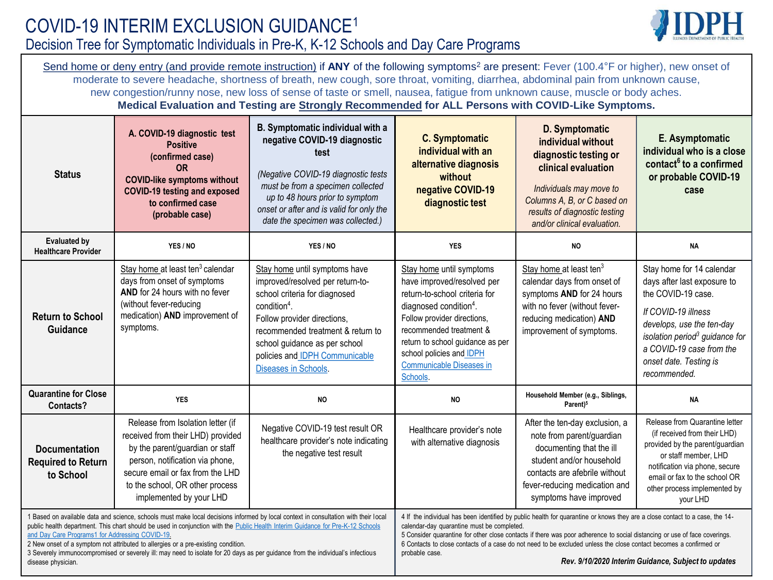

Send home or deny entry (and provide remote instruction) if ANY of the following symptoms<sup>2</sup> are present: Fever (100.4°F or higher), new onset of moderate to severe headache, shortness of breath, new cough, sore throat, vomiting, diarrhea, abdominal pain from unknown cause, new congestion/runny nose, new loss of sense of taste or smell, nausea, fatigue from unknown cause, muscle or body aches. **Medical Evaluation and Testing are Strongly Recommended for ALL Persons with COVID-Like Symptoms.**

| <b>Status</b>                                                                                                                                                                                                                                                                                                                                                                                                                                                                                                                                                          | A. COVID-19 diagnostic test<br><b>Positive</b><br>(confirmed case)<br>0R<br><b>COVID-like symptoms without</b><br><b>COVID-19 testing and exposed</b><br>to confirmed case<br>(probable case)                                                  | B. Symptomatic individual with a<br>negative COVID-19 diagnostic<br>test<br>(Negative COVID-19 diagnostic tests<br>must be from a specimen collected<br>up to 48 hours prior to symptom<br>onset or after and is valid for only the<br>date the specimen was collected.)            | <b>C.</b> Symptomatic<br>individual with an<br>alternative diagnosis<br>without<br>negative COVID-19<br>diagnostic test                                                                                                                                                                                                                                                                                                                                                                               | D. Symptomatic<br>individual without<br>diagnostic testing or<br>clinical evaluation<br>Individuals may move to<br>Columns A, B, or C based on<br>results of diagnostic testing<br>and/or clinical evaluation.  | E. Asymptomatic<br>individual who is a close<br>contact <sup>6</sup> to a confirmed<br>or probable COVID-19<br>case                                                                                                                                    |
|------------------------------------------------------------------------------------------------------------------------------------------------------------------------------------------------------------------------------------------------------------------------------------------------------------------------------------------------------------------------------------------------------------------------------------------------------------------------------------------------------------------------------------------------------------------------|------------------------------------------------------------------------------------------------------------------------------------------------------------------------------------------------------------------------------------------------|-------------------------------------------------------------------------------------------------------------------------------------------------------------------------------------------------------------------------------------------------------------------------------------|-------------------------------------------------------------------------------------------------------------------------------------------------------------------------------------------------------------------------------------------------------------------------------------------------------------------------------------------------------------------------------------------------------------------------------------------------------------------------------------------------------|-----------------------------------------------------------------------------------------------------------------------------------------------------------------------------------------------------------------|--------------------------------------------------------------------------------------------------------------------------------------------------------------------------------------------------------------------------------------------------------|
| <b>Evaluated by</b><br><b>Healthcare Provider</b>                                                                                                                                                                                                                                                                                                                                                                                                                                                                                                                      | YES / NO                                                                                                                                                                                                                                       | YES / NO                                                                                                                                                                                                                                                                            | <b>YES</b>                                                                                                                                                                                                                                                                                                                                                                                                                                                                                            | <b>NO</b>                                                                                                                                                                                                       | <b>NA</b>                                                                                                                                                                                                                                              |
| <b>Return to School</b><br>Guidance                                                                                                                                                                                                                                                                                                                                                                                                                                                                                                                                    | Stay home at least ten <sup>3</sup> calendar<br>days from onset of symptoms<br>AND for 24 hours with no fever<br>(without fever-reducing<br>medication) AND improvement of<br>symptoms.                                                        | Stay home until symptoms have<br>improved/resolved per return-to-<br>school criteria for diagnosed<br>$condition4$ .<br>Follow provider directions,<br>recommended treatment & return to<br>school guidance as per school<br>policies and IDPH Communicable<br>Diseases in Schools. | Stay home until symptoms<br>have improved/resolved per<br>return-to-school criteria for<br>diagnosed condition <sup>4</sup> .<br>Follow provider directions,<br>recommended treatment &<br>return to school guidance as per<br>school policies and IDPH<br><b>Communicable Diseases in</b><br>Schools.                                                                                                                                                                                                | Stay home at least ten <sup>3</sup><br>calendar days from onset of<br>symptoms AND for 24 hours<br>with no fever (without fever-<br>reducing medication) AND<br>improvement of symptoms.                        | Stay home for 14 calendar<br>days after last exposure to<br>the COVID-19 case.<br>If COVID-19 illness<br>develops, use the ten-day<br>isolation period <sup>3</sup> guidance for<br>a COVID-19 case from the<br>onset date. Testing is<br>recommended. |
| <b>Quarantine for Close</b><br>Contacts?                                                                                                                                                                                                                                                                                                                                                                                                                                                                                                                               | <b>YES</b>                                                                                                                                                                                                                                     | <b>NO</b>                                                                                                                                                                                                                                                                           | <b>NO</b>                                                                                                                                                                                                                                                                                                                                                                                                                                                                                             | Household Member (e.g., Siblings,<br>Parent) <sup>5</sup>                                                                                                                                                       | <b>NA</b>                                                                                                                                                                                                                                              |
| <b>Documentation</b><br><b>Required to Return</b><br>to School                                                                                                                                                                                                                                                                                                                                                                                                                                                                                                         | Release from Isolation letter (if<br>received from their LHD) provided<br>by the parent/guardian or staff<br>person, notification via phone,<br>secure email or fax from the LHD<br>to the school, OR other process<br>implemented by your LHD | Negative COVID-19 test result OR<br>healthcare provider's note indicating<br>the negative test result                                                                                                                                                                               | Healthcare provider's note<br>with alternative diagnosis                                                                                                                                                                                                                                                                                                                                                                                                                                              | After the ten-day exclusion, a<br>note from parent/guardian<br>documenting that the ill<br>student and/or household<br>contacts are afebrile without<br>fever-reducing medication and<br>symptoms have improved | Release from Quarantine letter<br>(if received from their LHD)<br>provided by the parent/guardian<br>or staff member, LHD<br>notification via phone, secure<br>email or fax to the school OR<br>other process implemented by<br>your LHD               |
| 1 Based on available data and science, schools must make local decisions informed by local context in consultation with their local<br>public health department. This chart should be used in conjunction with the Public Health Interim Guidance for Pre-K-12 Schools<br>and Day Care Programs1 for Addressing COVID-19.<br>2 New onset of a symptom not attributed to allergies or a pre-existing condition.<br>3 Severely immunocompromised or severely ill: may need to isolate for 20 days as per guidance from the individual's infectious<br>disease physician. |                                                                                                                                                                                                                                                |                                                                                                                                                                                                                                                                                     | 4 If the individual has been identified by public health for quarantine or knows they are a close contact to a case, the 14-<br>calendar-day quarantine must be completed.<br>5 Consider quarantine for other close contacts if there was poor adherence to social distancing or use of face coverings.<br>6 Contacts to close contacts of a case do not need to be excluded unless the close contact becomes a confirmed or<br>probable case.<br>Rev. 9/10/2020 Interim Guidance, Subject to updates |                                                                                                                                                                                                                 |                                                                                                                                                                                                                                                        |